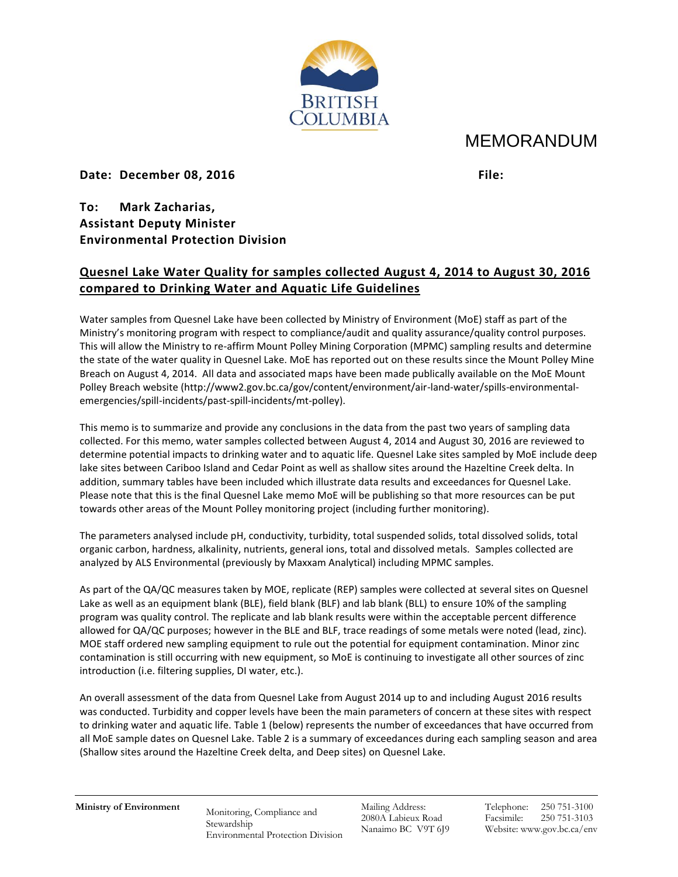

## MEMORANDUM

## **Date: December 08, 2016 File:**

**To: Mark Zacharias, Assistant Deputy Minister Environmental Protection Division**

## **Quesnel Lake Water Quality for samples collected August 4, 2014 to August 30, 2016 compared to Drinking Water and Aquatic Life Guidelines**

Water samples from Quesnel Lake have been collected by Ministry of Environment (MoE) staff as part of the Ministry's monitoring program with respect to compliance/audit and quality assurance/quality control purposes. This will allow the Ministry to re-affirm Mount Polley Mining Corporation (MPMC) sampling results and determine the state of the water quality in Quesnel Lake. MoE has reported out on these results since the Mount Polley Mine Breach on August 4, 2014. All data and associated maps have been made publically available on the MoE Mount Polley Breach website (http://www2.gov.bc.ca/gov/content/environment/air-land-water/spills-environmentalemergencies/spill-incidents/past-spill-incidents/mt-polley).

This memo is to summarize and provide any conclusions in the data from the past two years of sampling data collected. For this memo, water samples collected between August 4, 2014 and August 30, 2016 are reviewed to determine potential impacts to drinking water and to aquatic life. Quesnel Lake sites sampled by MoE include deep lake sites between Cariboo Island and Cedar Point as well as shallow sites around the Hazeltine Creek delta. In addition, summary tables have been included which illustrate data results and exceedances for Quesnel Lake. Please note that this is the final Quesnel Lake memo MoE will be publishing so that more resources can be put towards other areas of the Mount Polley monitoring project (including further monitoring).

The parameters analysed include pH, conductivity, turbidity, total suspended solids, total dissolved solids, total organic carbon, hardness, alkalinity, nutrients, general ions, total and dissolved metals. Samples collected are analyzed by ALS Environmental (previously by Maxxam Analytical) including MPMC samples.

As part of the QA/QC measures taken by MOE, replicate (REP) samples were collected at several sites on Quesnel Lake as well as an equipment blank (BLE), field blank (BLF) and lab blank (BLL) to ensure 10% of the sampling program was quality control. The replicate and lab blank results were within the acceptable percent difference allowed for QA/QC purposes; however in the BLE and BLF, trace readings of some metals were noted (lead, zinc). MOE staff ordered new sampling equipment to rule out the potential for equipment contamination. Minor zinc contamination is still occurring with new equipment, so MoE is continuing to investigate all other sources of zinc introduction (i.e. filtering supplies, DI water, etc.).

An overall assessment of the data from Quesnel Lake from August 2014 up to and including August 2016 results was conducted. Turbidity and copper levels have been the main parameters of concern at these sites with respect to drinking water and aquatic life. Table 1 (below) represents the number of exceedances that have occurred from all MoE sample dates on Quesnel Lake. Table 2 is a summary of exceedances during each sampling season and area (Shallow sites around the Hazeltine Creek delta, and Deep sites) on Quesnel Lake.

**Ministry of Environment** Monitoring, Compliance and Stewardship Environmental Protection Division Mailing Address: 2080A Labieux Road Nanaimo BC V9T 6J9 Telephone: 250 751-3100 Facsimile: 250 751-3103 Website: www.gov.bc.ca/env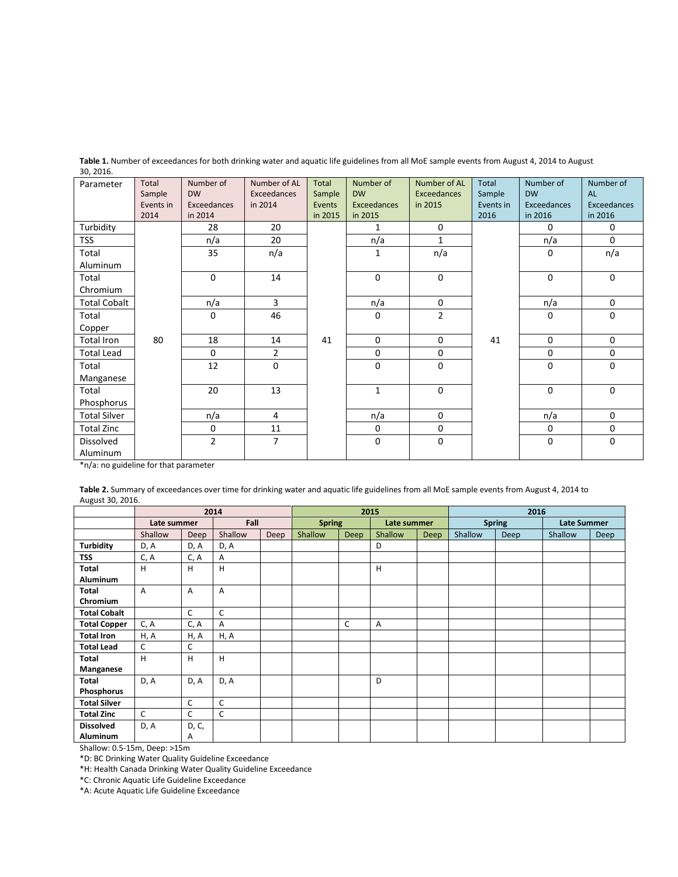| Parameter           | Total               | Number of<br><b>DW</b> | Number of AL<br>Exceedances | Total            | Number of<br><b>DW</b> | Number of AL<br>Exceedances | Total               | Number of<br><b>DW</b> | Number of<br>AL |
|---------------------|---------------------|------------------------|-----------------------------|------------------|------------------------|-----------------------------|---------------------|------------------------|-----------------|
|                     | Sample<br>Events in | Exceedances            | in 2014                     | Sample<br>Events | Exceedances            | in 2015                     | Sample<br>Events in | Exceedances            | Exceedances     |
|                     | 2014                | in 2014                |                             | in 2015          | in 2015                |                             | 2016                | in 2016                | in 2016         |
| Turbidity           |                     | 28                     | 20                          |                  | 1                      | 0                           |                     | $\mathbf 0$            | 0               |
| TSS                 |                     | n/a                    | 20                          |                  | n/a                    | 1                           |                     | n/a                    | $\Omega$        |
| Total               |                     | 35                     | n/a                         |                  | 1                      | n/a                         |                     | $\mathbf 0$            | n/a             |
| Aluminum            |                     |                        |                             |                  |                        |                             |                     |                        |                 |
| Total               |                     | $\mathbf 0$            | 14                          |                  | $\mathbf 0$            | 0                           |                     | $\mathbf 0$            | $\Omega$        |
| Chromium            |                     |                        |                             |                  |                        |                             |                     |                        |                 |
| <b>Total Cobalt</b> |                     | n/a                    | $\overline{3}$              |                  | n/a                    | 0                           |                     | n/a                    | $\mathbf 0$     |
| Total               |                     | $\mathbf 0$            | 46                          |                  | $\mathbf 0$            | $\overline{2}$              |                     | $\mathbf 0$            | $\mathbf 0$     |
| Copper              |                     |                        |                             |                  |                        |                             |                     |                        |                 |
| <b>Total Iron</b>   | 80                  | 18                     | 14                          | 41               | $\mathbf 0$            | 0                           | 41                  | $\mathbf 0$            | $\mathbf 0$     |
| <b>Total Lead</b>   |                     | $\mathbf 0$            | $\overline{2}$              |                  | 0                      | 0                           |                     | $\mathbf 0$            | $\mathbf 0$     |
| Total               |                     | 12                     | 0                           |                  | $\mathbf 0$            | 0                           |                     | $\mathbf 0$            | 0               |
| Manganese           |                     |                        |                             |                  |                        |                             |                     |                        |                 |
| Total               |                     | 20                     | 13                          |                  | $\mathbf{1}$           | 0                           |                     | $\Omega$               | $\Omega$        |
| Phosphorus          |                     |                        |                             |                  |                        |                             |                     |                        |                 |
| <b>Total Silver</b> |                     | n/a                    | $\overline{4}$              |                  | n/a                    | 0                           |                     | n/a                    | $\mathbf 0$     |
| Total Zinc          |                     | 0                      | 11                          |                  | $\mathbf 0$            | 0                           |                     | $\mathbf 0$            | 0               |
| Dissolved           |                     | $\overline{2}$         | $\overline{7}$              |                  | $\mathbf 0$            | 0                           |                     | $\mathbf 0$            | $\mathbf 0$     |
| Aluminum            |                     |                        |                             |                  |                        |                             |                     |                        |                 |

Table 1. Number of exceedances for both drinking water and aquatic life guidelines from all MoE sample events from August 4, 2014 to August 30, 2016.

\*n/a: no guideline for that parameter

**Table 2.** Summary of exceedances over time for drinking water and aquatic life guidelines from all MoE sample events from August 4, 2014 to August 30, 2016.

|                     | 2014           |              |              | 2015 |               |             | 2016        |             |               |      |                    |             |
|---------------------|----------------|--------------|--------------|------|---------------|-------------|-------------|-------------|---------------|------|--------------------|-------------|
|                     | Late summer    |              | Fall         |      | <b>Spring</b> |             | Late summer |             | <b>Spring</b> |      | <b>Late Summer</b> |             |
|                     | Shallow        | <b>Deep</b>  | Shallow      | Deep | Shallow       | <b>Deep</b> | Shallow     | <b>Deep</b> | Shallow       | Deep | Shallow            | <b>Deep</b> |
| <b>Turbidity</b>    | D, A           | D, A         | D, A         |      |               |             | D           |             |               |      |                    |             |
| <b>TSS</b>          | C, A           | C, A         | Α            |      |               |             |             |             |               |      |                    |             |
| Total               | H              | н            | H            |      |               |             | H           |             |               |      |                    |             |
| <b>Aluminum</b>     |                |              |              |      |               |             |             |             |               |      |                    |             |
| <b>Total</b>        | $\overline{A}$ | A            | Α            |      |               |             |             |             |               |      |                    |             |
| Chromium            |                |              |              |      |               |             |             |             |               |      |                    |             |
| <b>Total Cobalt</b> |                | C            | $\mathsf{C}$ |      |               |             |             |             |               |      |                    |             |
| <b>Total Copper</b> | C, A           | C, A         | Α            |      |               | C           | A           |             |               |      |                    |             |
| <b>Total Iron</b>   | H, A           | H, A         | H, A         |      |               |             |             |             |               |      |                    |             |
| <b>Total Lead</b>   | C              | C            |              |      |               |             |             |             |               |      |                    |             |
| <b>Total</b>        | H              | H            | H            |      |               |             |             |             |               |      |                    |             |
| Manganese           |                |              |              |      |               |             |             |             |               |      |                    |             |
| Total               | D, A           | D, A         | D, A         |      |               |             | D           |             |               |      |                    |             |
| Phosphorus          |                |              |              |      |               |             |             |             |               |      |                    |             |
| <b>Total Silver</b> |                | $\mathsf{C}$ | $\mathsf C$  |      |               |             |             |             |               |      |                    |             |
| <b>Total Zinc</b>   | C              | C            | C            |      |               |             |             |             |               |      |                    |             |
| <b>Dissolved</b>    | D, A           | D, C,        |              |      |               |             |             |             |               |      |                    |             |
| <b>Aluminum</b>     |                | A            |              |      |               |             |             |             |               |      |                    |             |

Shallow: 0.5-15m, Deep: >15m

\*D: BC Drinking Water Quality Guideline Exceedance

\*H: Health Canada Drinking Water Quality Guideline Exceedance

\*C: Chronic Aquatic Life Guideline Exceedance

\*A: Acute Aquatic Life Guideline Exceedance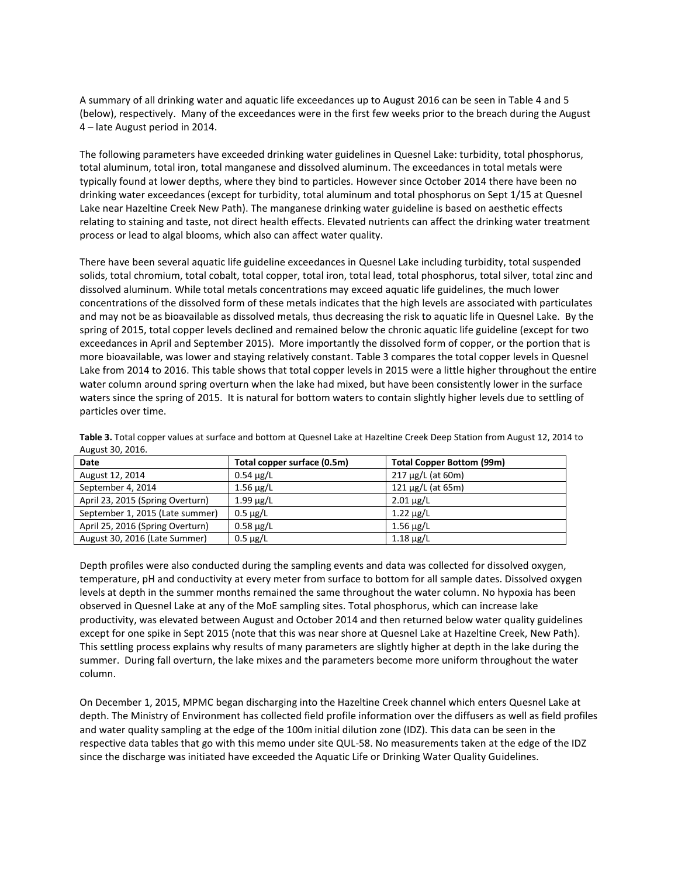A summary of all drinking water and aquatic life exceedances up to August 2016 can be seen in Table 4 and 5 (below), respectively. Many of the exceedances were in the first few weeks prior to the breach during the August 4 – late August period in 2014.

The following parameters have exceeded drinking water guidelines in Quesnel Lake: turbidity, total phosphorus, total aluminum, total iron, total manganese and dissolved aluminum. The exceedances in total metals were typically found at lower depths, where they bind to particles. However since October 2014 there have been no drinking water exceedances (except for turbidity, total aluminum and total phosphorus on Sept 1/15 at Quesnel Lake near Hazeltine Creek New Path). The manganese drinking water guideline is based on aesthetic effects relating to staining and taste, not direct health effects. Elevated nutrients can affect the drinking water treatment process or lead to algal blooms, which also can affect water quality.

There have been several aquatic life guideline exceedances in Quesnel Lake including turbidity, total suspended solids, total chromium, total cobalt, total copper, total iron, total lead, total phosphorus, total silver, total zinc and dissolved aluminum. While total metals concentrations may exceed aquatic life guidelines, the much lower concentrations of the dissolved form of these metals indicates that the high levels are associated with particulates and may not be as bioavailable as dissolved metals, thus decreasing the risk to aquatic life in Quesnel Lake. By the spring of 2015, total copper levels declined and remained below the chronic aquatic life guideline (except for two exceedances in April and September 2015). More importantly the dissolved form of copper, or the portion that is more bioavailable, was lower and staying relatively constant. Table 3 compares the total copper levels in Quesnel Lake from 2014 to 2016. This table shows that total copper levels in 2015 were a little higher throughout the entire water column around spring overturn when the lake had mixed, but have been consistently lower in the surface waters since the spring of 2015. It is natural for bottom waters to contain slightly higher levels due to settling of particles over time.

| Date                             | Total copper surface (0.5m) | Total Copper Bottom (99m) |
|----------------------------------|-----------------------------|---------------------------|
| August 12, 2014                  | $0.54 \mu g/L$              | $217 \mu g/L$ (at 60m)    |
| September 4, 2014                | $1.56 \mu g/L$              | 121 $\mu$ g/L (at 65m)    |
| April 23, 2015 (Spring Overturn) | $1.99 \mu g/L$              | $2.01 \mu g/L$            |
| September 1, 2015 (Late summer)  | $0.5 \mu g/L$               | $1.22 \mu g/L$            |
| April 25, 2016 (Spring Overturn) | $0.58 \mu g/L$              | $1.56 \mu g/L$            |
| August 30, 2016 (Late Summer)    | $0.5 \mu g/L$               | $1.18 \mu g/L$            |

**Table 3.** Total copper values at surface and bottom at Quesnel Lake at Hazeltine Creek Deep Station from August 12, 2014 to August 30, 2016.

Depth profiles were also conducted during the sampling events and data was collected for dissolved oxygen, temperature, pH and conductivity at every meter from surface to bottom for all sample dates. Dissolved oxygen levels at depth in the summer months remained the same throughout the water column. No hypoxia has been observed in Quesnel Lake at any of the MoE sampling sites. Total phosphorus, which can increase lake productivity, was elevated between August and October 2014 and then returned below water quality guidelines except for one spike in Sept 2015 (note that this was near shore at Quesnel Lake at Hazeltine Creek, New Path). This settling process explains why results of many parameters are slightly higher at depth in the lake during the summer. During fall overturn, the lake mixes and the parameters become more uniform throughout the water column.

On December 1, 2015, MPMC began discharging into the Hazeltine Creek channel which enters Quesnel Lake at depth. The Ministry of Environment has collected field profile information over the diffusers as well as field profiles and water quality sampling at the edge of the 100m initial dilution zone (IDZ). This data can be seen in the respective data tables that go with this memo under site QUL-58. No measurements taken at the edge of the IDZ since the discharge was initiated have exceeded the Aquatic Life or Drinking Water Quality Guidelines.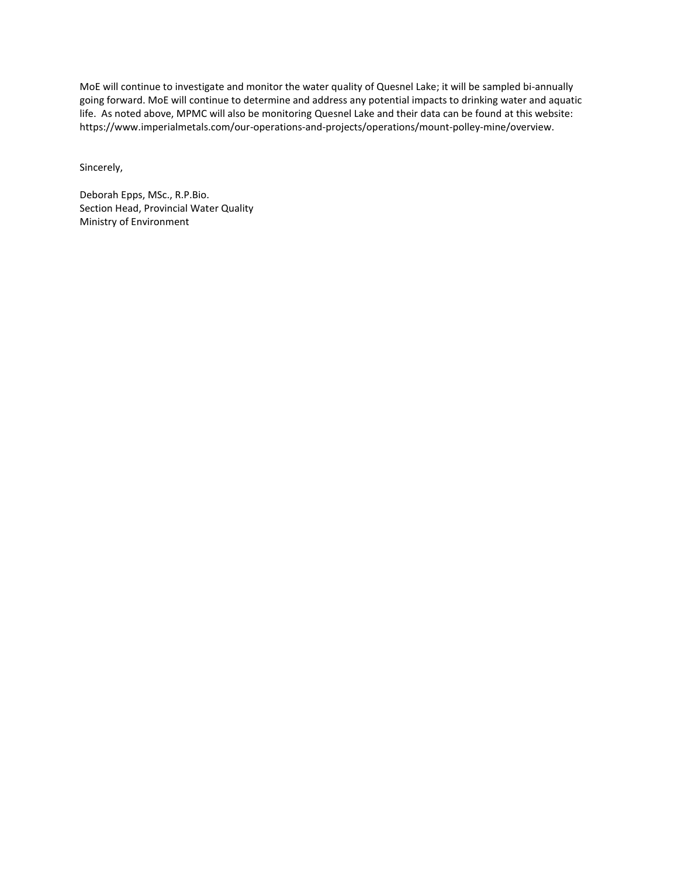MoE will continue to investigate and monitor the water quality of Quesnel Lake; it will be sampled bi-annually going forward. MoE will continue to determine and address any potential impacts to drinking water and aquatic life. As noted above, MPMC will also be monitoring Quesnel Lake and their data can be found at this website: https://www.imperialmetals.com/our-operations-and-projects/operations/mount-polley-mine/overview.

Sincerely,

Deborah Epps, MSc., R.P.Bio. Section Head, Provincial Water Quality Ministry of Environment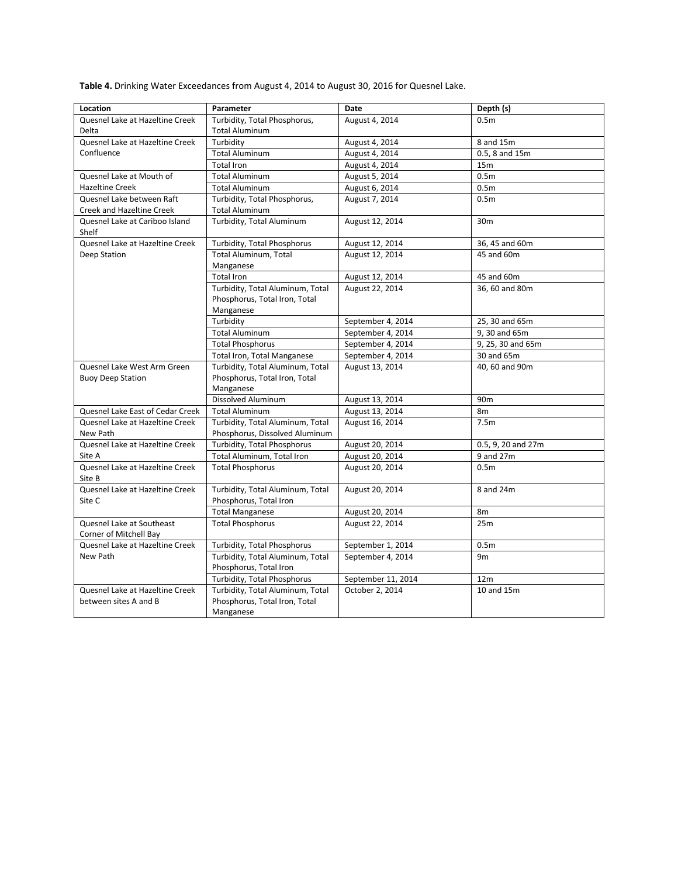**Table 4.** Drinking Water Exceedances from August 4, 2014 to August 30, 2016 for Quesnel Lake.

| Location                                    | Parameter                                                  | Date               | Depth (s)          |  |
|---------------------------------------------|------------------------------------------------------------|--------------------|--------------------|--|
| Quesnel Lake at Hazeltine Creek             | Turbidity, Total Phosphorus,                               | August 4, 2014     | 0.5 <sub>m</sub>   |  |
| Delta                                       | <b>Total Aluminum</b>                                      |                    |                    |  |
| Quesnel Lake at Hazeltine Creek             | Turbidity                                                  | August 4, 2014     | 8 and 15m          |  |
| Confluence                                  | <b>Total Aluminum</b>                                      | August 4, 2014     | 0.5, 8 and 15m     |  |
|                                             | <b>Total Iron</b>                                          | August 4, 2014     | 15m                |  |
| Quesnel Lake at Mouth of                    | <b>Total Aluminum</b>                                      | August 5, 2014     | 0.5 <sub>m</sub>   |  |
| <b>Hazeltine Creek</b>                      | <b>Total Aluminum</b>                                      | August 6, 2014     | 0.5 <sub>m</sub>   |  |
| Quesnel Lake between Raft                   | Turbidity, Total Phosphorus,                               | August 7, 2014     | 0.5 <sub>m</sub>   |  |
| Creek and Hazeltine Creek                   | <b>Total Aluminum</b>                                      |                    |                    |  |
| Quesnel Lake at Cariboo Island<br>Shelf     | Turbidity, Total Aluminum                                  | August 12, 2014    | 30 <sub>m</sub>    |  |
| Quesnel Lake at Hazeltine Creek             | Turbidity, Total Phosphorus                                | August 12, 2014    | 36, 45 and 60m     |  |
| Deep Station                                | Total Aluminum, Total                                      | August 12, 2014    | 45 and 60m         |  |
|                                             | Manganese                                                  |                    |                    |  |
|                                             | <b>Total Iron</b>                                          | August 12, 2014    | 45 and 60m         |  |
|                                             | Turbidity, Total Aluminum, Total                           | August 22, 2014    | 36, 60 and 80m     |  |
|                                             | Phosphorus, Total Iron, Total                              |                    |                    |  |
|                                             | Manganese                                                  |                    |                    |  |
|                                             | Turbidity                                                  | September 4, 2014  | 25, 30 and 65m     |  |
|                                             | <b>Total Aluminum</b>                                      | September 4, 2014  | 9, 30 and 65m      |  |
|                                             | <b>Total Phosphorus</b>                                    | September 4, 2014  | 9, 25, 30 and 65m  |  |
|                                             | Total Iron, Total Manganese                                | September 4, 2014  | 30 and 65m         |  |
| Quesnel Lake West Arm Green                 | Turbidity, Total Aluminum, Total                           | August 13, 2014    | 40, 60 and 90m     |  |
| <b>Buoy Deep Station</b>                    | Phosphorus, Total Iron, Total                              |                    |                    |  |
|                                             | Manganese                                                  |                    |                    |  |
|                                             | Dissolved Aluminum                                         | August 13, 2014    | 90 <sub>m</sub>    |  |
| Quesnel Lake East of Cedar Creek            | <b>Total Aluminum</b>                                      | August 13, 2014    | 8 <sub>m</sub>     |  |
| Quesnel Lake at Hazeltine Creek             | Turbidity, Total Aluminum, Total                           | August 16, 2014    | 7.5 <sub>m</sub>   |  |
| New Path                                    | Phosphorus, Dissolved Aluminum                             |                    |                    |  |
| Quesnel Lake at Hazeltine Creek             | Turbidity, Total Phosphorus                                | August 20, 2014    | 0.5, 9, 20 and 27m |  |
| Site A                                      | Total Aluminum, Total Iron                                 | August 20, 2014    | 9 and 27m          |  |
| Quesnel Lake at Hazeltine Creek             | <b>Total Phosphorus</b>                                    | August 20, 2014    | 0.5 <sub>m</sub>   |  |
| Site B                                      |                                                            |                    |                    |  |
| Quesnel Lake at Hazeltine Creek             | Turbidity, Total Aluminum, Total                           | August 20, 2014    | 8 and 24m          |  |
| Site C                                      | Phosphorus, Total Iron                                     |                    |                    |  |
|                                             | <b>Total Manganese</b>                                     | August 20, 2014    | 8m                 |  |
| Quesnel Lake at Southeast                   | <b>Total Phosphorus</b>                                    | August 22, 2014    | 25m                |  |
| Corner of Mitchell Bay                      |                                                            |                    |                    |  |
| Quesnel Lake at Hazeltine Creek<br>New Path | Turbidity, Total Phosphorus                                | September 1, 2014  | 0.5 <sub>m</sub>   |  |
|                                             | Turbidity, Total Aluminum, Total<br>Phosphorus, Total Iron | September 4, 2014  | 9 <sub>m</sub>     |  |
|                                             | <b>Turbidity, Total Phosphorus</b>                         | September 11, 2014 | 12 <sub>m</sub>    |  |
| Quesnel Lake at Hazeltine Creek             | Turbidity, Total Aluminum, Total                           | October 2, 2014    | 10 and 15m         |  |
| between sites A and B                       | Phosphorus, Total Iron, Total                              |                    |                    |  |
|                                             | Manganese                                                  |                    |                    |  |
|                                             |                                                            |                    |                    |  |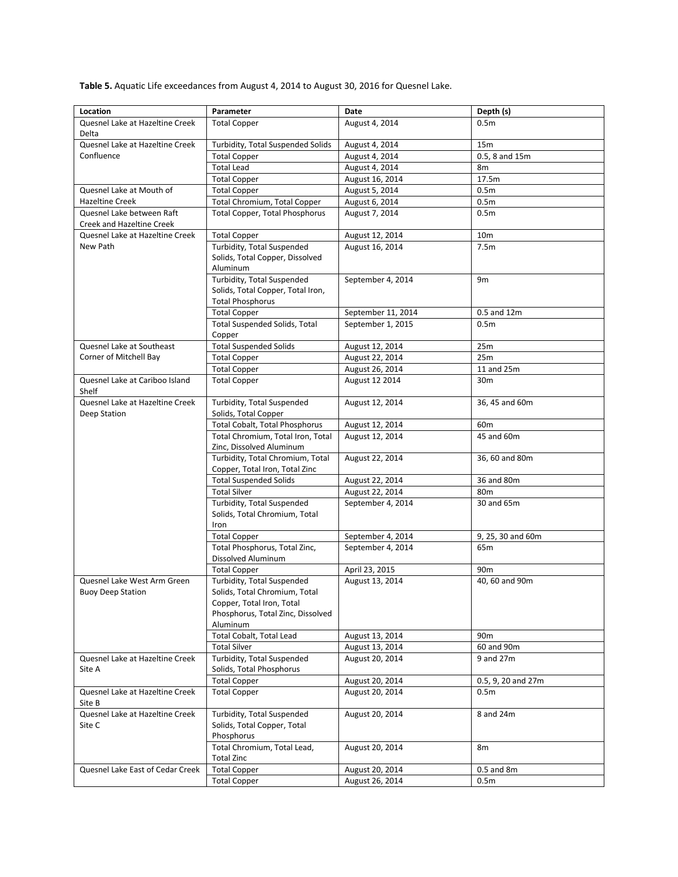**Table 5.** Aquatic Life exceedances from August 4, 2014 to August 30, 2016 for Quesnel Lake.

| Location                                                | Parameter                                                                                                                                 | Date               | Depth (s)          |
|---------------------------------------------------------|-------------------------------------------------------------------------------------------------------------------------------------------|--------------------|--------------------|
| Quesnel Lake at Hazeltine Creek                         | <b>Total Copper</b>                                                                                                                       | August 4, 2014     | 0.5 <sub>m</sub>   |
| Delta                                                   |                                                                                                                                           |                    |                    |
| Quesnel Lake at Hazeltine Creek                         | Turbidity, Total Suspended Solids                                                                                                         | August 4, 2014     | 15m                |
| Confluence                                              | <b>Total Copper</b>                                                                                                                       | August 4, 2014     | 0.5, 8 and 15m     |
|                                                         | <b>Total Lead</b>                                                                                                                         | August 4, 2014     | 8m                 |
|                                                         | <b>Total Copper</b>                                                                                                                       | August 16, 2014    | 17.5m              |
| Quesnel Lake at Mouth of                                | <b>Total Copper</b>                                                                                                                       | August 5, 2014     | 0.5 <sub>m</sub>   |
| <b>Hazeltine Creek</b>                                  | Total Chromium, Total Copper                                                                                                              | August 6, 2014     | 0.5 <sub>m</sub>   |
| Quesnel Lake between Raft<br>Creek and Hazeltine Creek  | <b>Total Copper, Total Phosphorus</b>                                                                                                     | August 7, 2014     | 0.5 <sub>m</sub>   |
| Quesnel Lake at Hazeltine Creek                         | <b>Total Copper</b>                                                                                                                       | August 12, 2014    | 10 <sub>m</sub>    |
| New Path                                                | Turbidity, Total Suspended                                                                                                                | August 16, 2014    | 7.5m               |
|                                                         | Solids, Total Copper, Dissolved<br>Aluminum                                                                                               |                    |                    |
|                                                         | Turbidity, Total Suspended<br>Solids, Total Copper, Total Iron,<br><b>Total Phosphorus</b>                                                | September 4, 2014  | 9m                 |
|                                                         | <b>Total Copper</b>                                                                                                                       | September 11, 2014 | 0.5 and 12m        |
|                                                         | <b>Total Suspended Solids, Total</b><br>Copper                                                                                            | September 1, 2015  | 0.5 <sub>m</sub>   |
| Quesnel Lake at Southeast                               | <b>Total Suspended Solids</b>                                                                                                             | August 12, 2014    | 25m                |
| Corner of Mitchell Bay                                  | <b>Total Copper</b>                                                                                                                       | August 22, 2014    | 25m                |
|                                                         | <b>Total Copper</b>                                                                                                                       | August 26, 2014    | 11 and 25m         |
| Quesnel Lake at Cariboo Island                          | <b>Total Copper</b>                                                                                                                       | August 12 2014     | 30m                |
| Shelf                                                   |                                                                                                                                           |                    |                    |
| Quesnel Lake at Hazeltine Creek<br>Deep Station         | Turbidity, Total Suspended<br>Solids, Total Copper                                                                                        | August 12, 2014    | 36, 45 and 60m     |
|                                                         | Total Cobalt, Total Phosphorus                                                                                                            | August 12, 2014    | 60 <sub>m</sub>    |
|                                                         | Total Chromium, Total Iron, Total<br>Zinc, Dissolved Aluminum                                                                             | August 12, 2014    | 45 and 60m         |
|                                                         | Turbidity, Total Chromium, Total<br>Copper, Total Iron, Total Zinc                                                                        | August 22, 2014    | 36, 60 and 80m     |
|                                                         | <b>Total Suspended Solids</b>                                                                                                             | August 22, 2014    | 36 and 80m         |
|                                                         | <b>Total Silver</b>                                                                                                                       | August 22, 2014    | 80 <sub>m</sub>    |
|                                                         | Turbidity, Total Suspended<br>Solids, Total Chromium, Total<br>Iron                                                                       | September 4, 2014  | 30 and 65m         |
|                                                         | <b>Total Copper</b>                                                                                                                       | September 4, 2014  | 9, 25, 30 and 60m  |
|                                                         | Total Phosphorus, Total Zinc,<br>Dissolved Aluminum                                                                                       | September 4, 2014  | 65m                |
|                                                         | <b>Total Copper</b>                                                                                                                       | April 23, 2015     | 90 <sub>m</sub>    |
| Quesnel Lake West Arm Green<br><b>Buoy Deep Station</b> | Turbidity, Total Suspended<br>Solids, Total Chromium, Total<br>Copper, Total Iron, Total<br>Phosphorus, Total Zinc, Dissolved<br>Aluminum | August 13, 2014    | 40, 60 and 90m     |
|                                                         | Total Cobalt, Total Lead                                                                                                                  | August 13, 2014    | 90 <sub>m</sub>    |
|                                                         | <b>Total Silver</b>                                                                                                                       | August 13, 2014    | 60 and 90m         |
| Quesnel Lake at Hazeltine Creek<br>Site A               | <b>Turbidity, Total Suspended</b><br>Solids, Total Phosphorus                                                                             | August 20, 2014    | 9 and 27m          |
|                                                         | <b>Total Copper</b>                                                                                                                       | August 20, 2014    | 0.5, 9, 20 and 27m |
| Quesnel Lake at Hazeltine Creek<br>Site B               | <b>Total Copper</b>                                                                                                                       | August 20, 2014    | 0.5 <sub>m</sub>   |
| Quesnel Lake at Hazeltine Creek<br>Site C               | Turbidity, Total Suspended<br>Solids, Total Copper, Total<br>Phosphorus                                                                   | August 20, 2014    | 8 and 24m          |
|                                                         | Total Chromium, Total Lead,<br><b>Total Zinc</b>                                                                                          | August 20, 2014    | 8m                 |
| Quesnel Lake East of Cedar Creek                        | <b>Total Copper</b>                                                                                                                       | August 20, 2014    | $0.5$ and $8m$     |
|                                                         | <b>Total Copper</b>                                                                                                                       | August 26, 2014    | 0.5 <sub>m</sub>   |